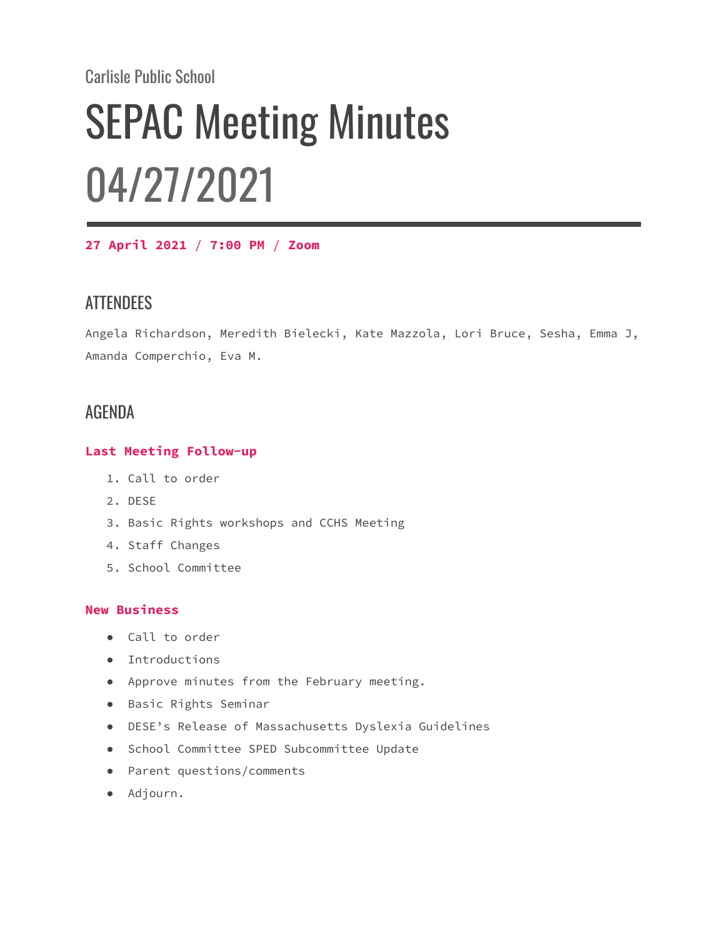Carlisle Public School

# SEPAC Meeting Minutes 04/27/2021

**27 April 2021** / **7:00 PM** / **Zoom**

# **ATTENDEES**

Angela Richardson, Meredith Bielecki, Kate Mazzola, Lori Bruce, Sesha, Emma J, Amanda Comperchio, Eva M.

## AGENDA

#### **Last Meeting Follow-up**

- 1. Call to order
- 2. DESE
- 3. Basic Rights workshops and CCHS Meeting
- 4. Staff Changes
- 5. School Committee

#### **New Business**

- Call to order
- Introductions
- Approve minutes from the February meeting.
- Basic Rights Seminar
- DESE's Release of Massachusetts Dyslexia Guidelines
- School Committee SPED Subcommittee Update
- Parent questions/comments
- Adjourn.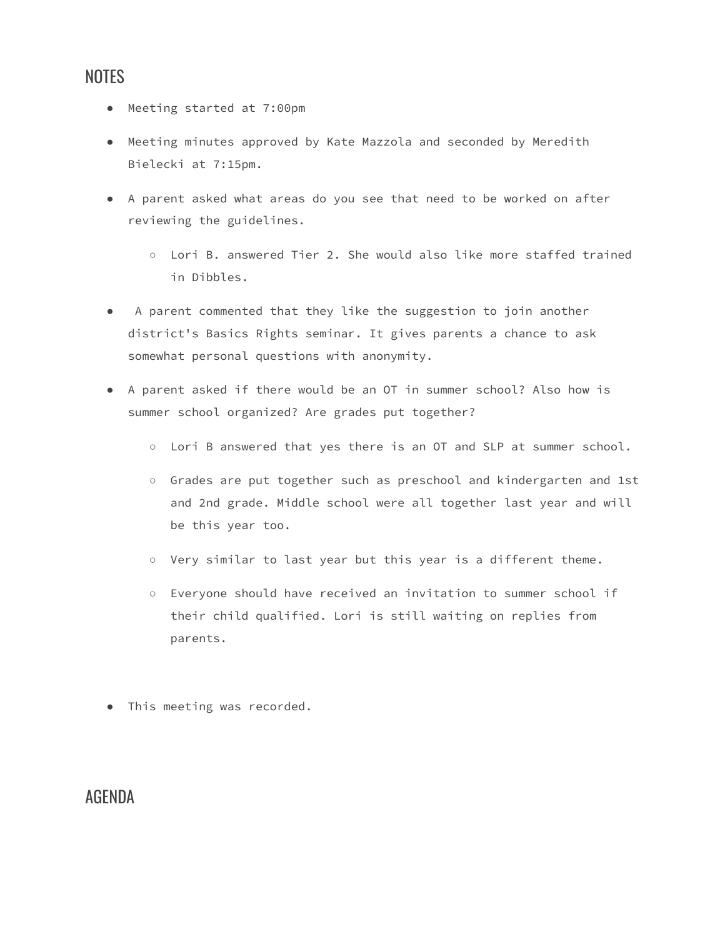## NOTES

- Meeting started at 7:00pm
- Meeting minutes approved by Kate Mazzola and seconded by Meredith Bielecki at 7:15pm.
- A parent asked what areas do you see that need to be worked on after reviewing the guidelines.
	- Lori B. answered Tier 2. She would also like more staffed trained in Dibbles.
- A parent commented that they like the suggestion to join another district's Basics Rights seminar. It gives parents a chance to ask somewhat personal questions with anonymity.
- A parent asked if there would be an OT in summer school? Also how is summer school organized? Are grades put together?
	- Lori B answered that yes there is an OT and SLP at summer school.
	- Grades are put together such as preschool and kindergarten and 1st and 2nd grade. Middle school were all together last year and will be this year too.
	- Very similar to last year but this year is a different theme.
	- Everyone should have received an invitation to summer school if their child qualified. Lori is still waiting on replies from parents.
- This meeting was recorded.

## AGENDA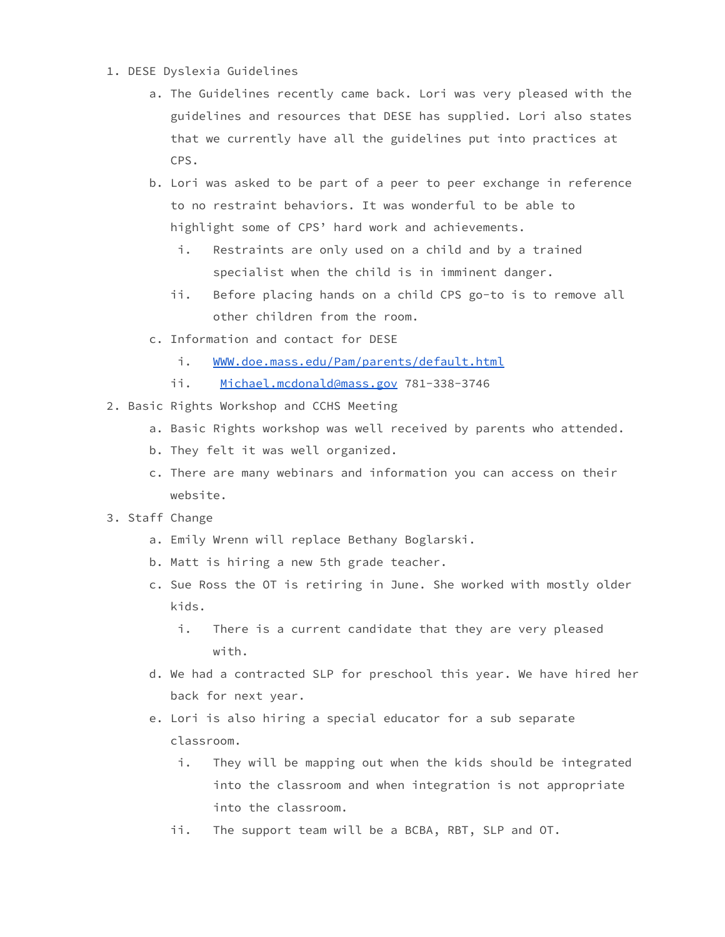- 1. DESE Dyslexia Guidelines
	- a. The Guidelines recently came back. Lori was very pleased with the guidelines and resources that DESE has supplied. Lori also states that we currently have all the guidelines put into practices at CPS.
	- b. Lori was asked to be part of a peer to peer exchange in reference to no restraint behaviors. It was wonderful to be able to highlight some of CPS' hard work and achievements.
		- i. Restraints are only used on a child and by a trained specialist when the child is in imminent danger.
		- ii. Before placing hands on a child CPS go-to is to remove all other children from the room.
	- c. Information and contact for DESE
		- i. [WWW.doe.mass.edu/Pam/parents/default.html](http://www.doe.mass.edu/Pam/parents/default.html)
		- ii. [Michael.mcdonald@mass.gov](mailto:Michael.mcdonald@mass.gov) 781-338-3746
- 2. Basic Rights Workshop and CCHS Meeting
	- a. Basic Rights workshop was well received by parents who attended.
	- b. They felt it was well organized.
	- c. There are many webinars and information you can access on their website.
- 3. Staff Change
	- a. Emily Wrenn will replace Bethany Boglarski.
	- b. Matt is hiring a new 5th grade teacher.
	- c. Sue Ross the OT is retiring in June. She worked with mostly older kids.
		- i. There is a current candidate that they are very pleased with.
	- d. We had a contracted SLP for preschool this year. We have hired her back for next year.
	- e. Lori is also hiring a special educator for a sub separate classroom.
		- i. They will be mapping out when the kids should be integrated into the classroom and when integration is not appropriate into the classroom.
		- ii. The support team will be a BCBA, RBT, SLP and OT.